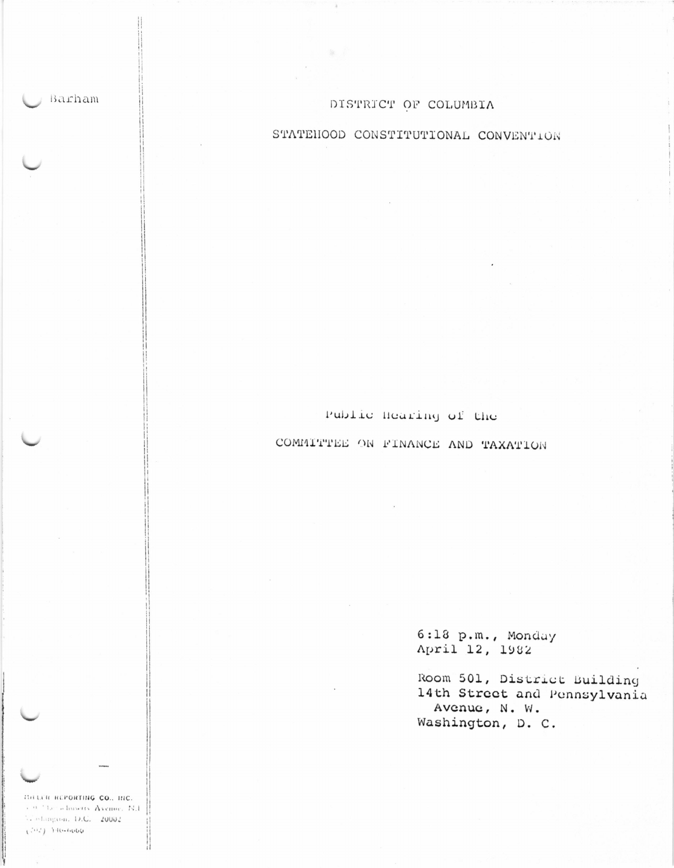Barham

## DISTRICT OF COLUMBIA

# STATEHOOD CONSTITUTIONAL CONVENTION

Public Hearing of the COMMITTEE ON FINANCE AND TAXATION

> 6:18 p.m., Monday April 12, 1982

Room 501, District Building 14th Street and Pennsylvania Avenue, N. W. Washington, D. C.

THELER REPORTING CO., THC. 3.90 The admissive Avenue, N.I. Vistangron, D.C. 20002  $(542)$  140-0000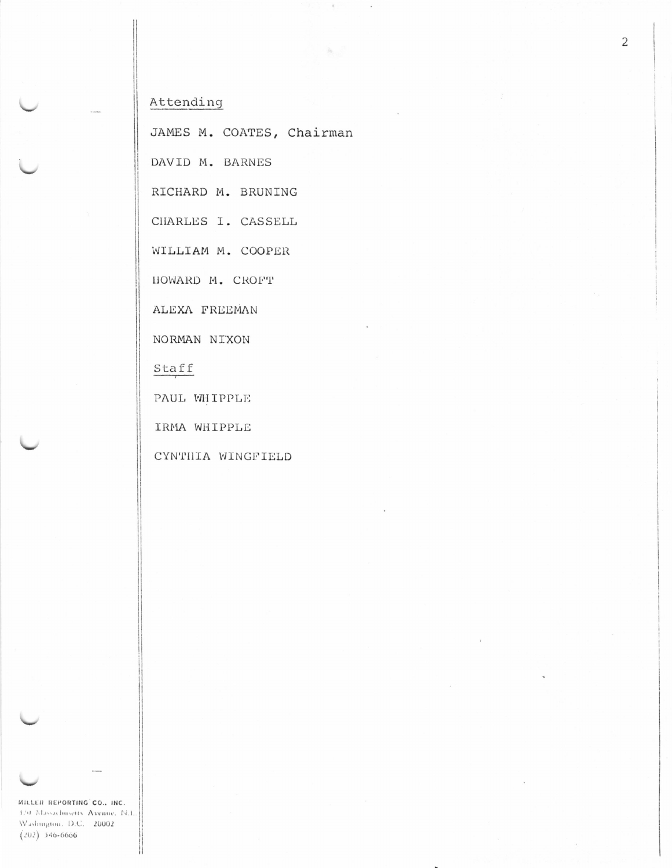## Attending

JAMES M. COATES, Chairman

 $\tilde{\tau}$ 

海

 $\lambda$ 

DAVID M. BARNES

RICHARD M. BRUNING

CHARLES I. CASSELL

WILLIAM M. COOPER

HOWARD M. CROFT

ALEXA FREEMAN

NORMAN NIXON

Staff

PAUL WHIPPLE

IRMA WHIPPLE

CYNTHIA WINGFIELD

MILLER REPORTING CO., INC. 320 Massachusetts Avenue, N.I., Washington, D.C. 20002  $(202) 546 - 6666$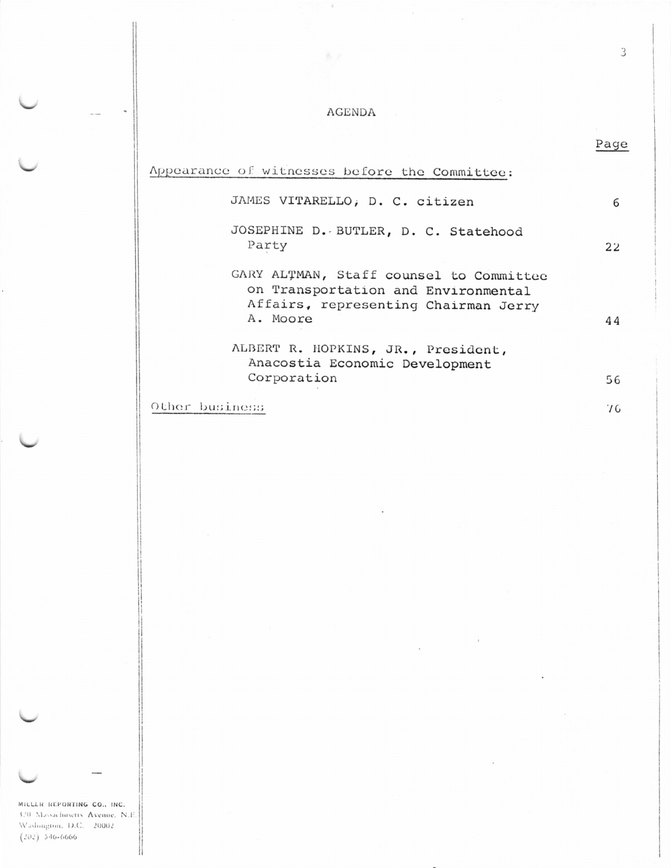#### **AGENDA**

 $\bar{e}$ 

|                                                                                                                                    | Page    |
|------------------------------------------------------------------------------------------------------------------------------------|---------|
| Appearance of witnesses before the Committee:                                                                                      |         |
| JAMES VITARELLO, D. C. citizen                                                                                                     | 6       |
| JOSEPHINE D. BUTLER, D. C. Statehood<br>Party                                                                                      | $22 \,$ |
| GARY ALTMAN, Staff counsel to Committee<br>on Transportation and Environmental<br>Affairs, representing Chairman Jerry<br>A. Moore | 44      |
| ALBERT R. HOPKINS, JR., President,<br>Anacostia Economic Development                                                               |         |
| Corporation                                                                                                                        | 56      |
| Other business                                                                                                                     | 76      |

MILLLR REPORTING CO., INC. 320 Massachusetts Avenue, N.E. Washington, D.C. 20002  $(202)$  346-6666